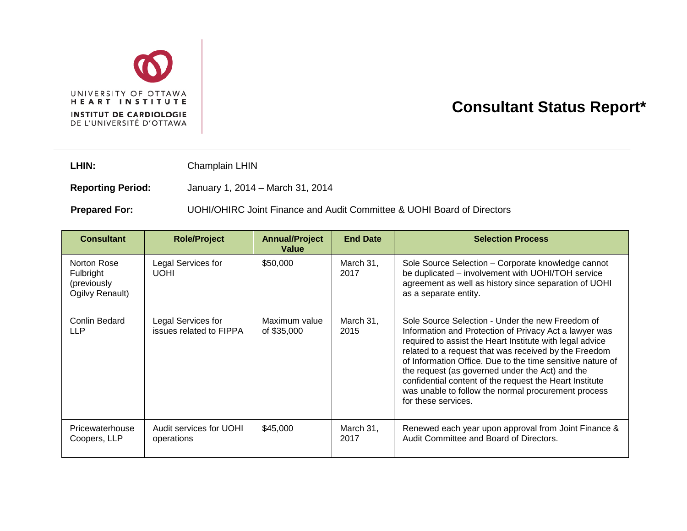

## **Consultant Status Report\***

LHIN: Champlain LHIN

**Reporting Period:** January 1, 2014 – March 31, 2014

**Prepared For:** UOHI/OHIRC Joint Finance and Audit Committee & UOHI Board of Directors

| <b>Consultant</b>                                          | <b>Role/Project</b>                           | <b>Annual/Project</b><br>Value | <b>End Date</b>   | <b>Selection Process</b>                                                                                                                                                                                                                                                                                                                                                                                                                                                                  |
|------------------------------------------------------------|-----------------------------------------------|--------------------------------|-------------------|-------------------------------------------------------------------------------------------------------------------------------------------------------------------------------------------------------------------------------------------------------------------------------------------------------------------------------------------------------------------------------------------------------------------------------------------------------------------------------------------|
| Norton Rose<br>Fulbright<br>(previously<br>Ogilvy Renault) | Legal Services for<br><b>UOHI</b>             | \$50,000                       | March 31,<br>2017 | Sole Source Selection - Corporate knowledge cannot<br>be duplicated - involvement with UOHI/TOH service<br>agreement as well as history since separation of UOHI<br>as a separate entity.                                                                                                                                                                                                                                                                                                 |
| Conlin Bedard<br>LLP                                       | Legal Services for<br>issues related to FIPPA | Maximum value<br>of \$35,000   | March 31,<br>2015 | Sole Source Selection - Under the new Freedom of<br>Information and Protection of Privacy Act a lawyer was<br>required to assist the Heart Institute with legal advice<br>related to a request that was received by the Freedom<br>of Information Office. Due to the time sensitive nature of<br>the request (as governed under the Act) and the<br>confidential content of the request the Heart Institute<br>was unable to follow the normal procurement process<br>for these services. |
| Pricewaterhouse<br>Coopers, LLP                            | Audit services for UOHI<br>operations         | \$45,000                       | March 31,<br>2017 | Renewed each year upon approval from Joint Finance &<br>Audit Committee and Board of Directors.                                                                                                                                                                                                                                                                                                                                                                                           |